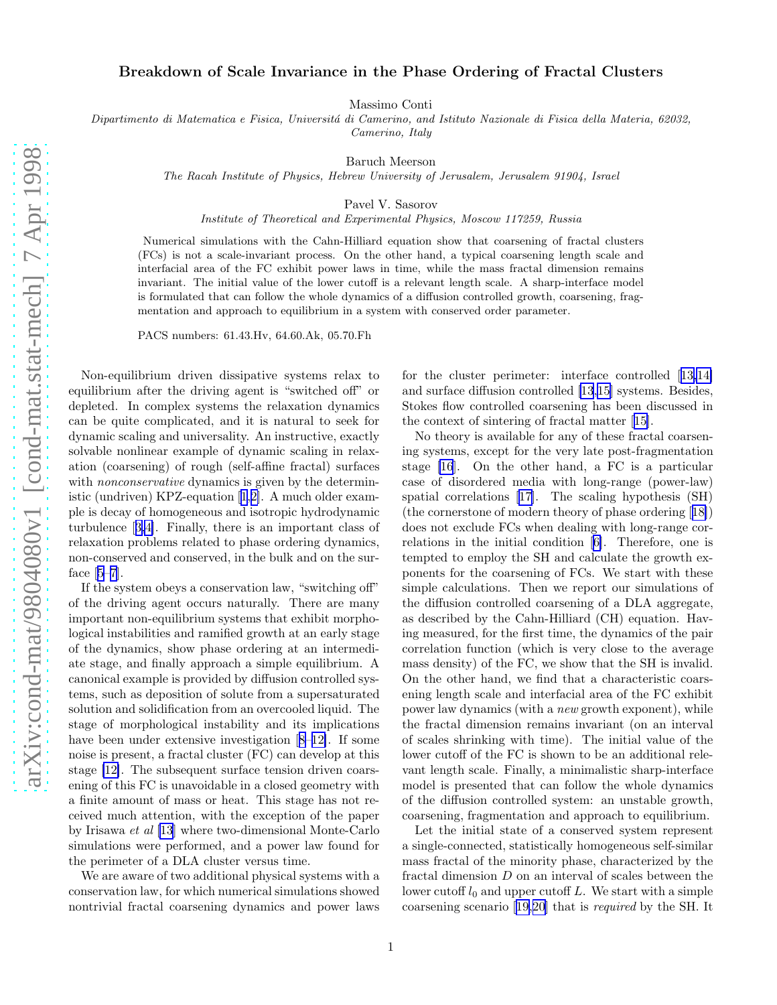## Breakdown of Scale Invariance in the Phase Ordering of Fractal Clusters

Massimo Conti

Dipartimento di Matematica e Fisica, Universitá di Camerino, and Istituto Nazionale di Fisica della Materia, 62032, Camerino, Italy

Baruch Meerson

The Racah Institute of Physics, Hebrew University of Jerusalem, Jerusalem 91904, Israel

Pavel V. Sasorov

Institute of Theoretical and Experimental Physics, Moscow 117259, Russia

Numerical simulations with the Cahn-Hilliard equation show that coarsening of fractal clusters (FCs) is not a scale-invariant process. On the other hand, a typical coarsening length scale and interfacial area of the FC exhibit power laws in time, while the mass fractal dimension remains invariant. The initial value of the lower cutoff is a relevant length scale. A sharp-interface model is formulated that can follow the whole dynamics of a diffusion controlled growth, coarsening, fragmentation and approach to equilibrium in a system with conserved order parameter.

PACS numbers: 61.43.Hv, 64.60.Ak, 05.70.Fh

Non-equilibrium driven dissipative systems relax to equilibrium after the driving agent is "switched off" or depleted. In complex systems the relaxation dynamics can be quite complicated, and it is natural to seek for dynamic scaling and universality. An instructive, exactly solvable nonlinear example of dynamic scaling in relaxation (coarsening) of rough (self-affine fractal) surfaces with *nonconservative* dynamics is given by the deterministic (undriven) KPZ-equation[[1,2\]](#page-3-0). A much older example is decay of homogeneous and isotropic hydrodynamic turbulence[[3,4\]](#page-3-0). Finally, there is an important class of relaxation problems related to phase ordering dynamics, non-conserved and conserved, in the bulk and on the surface[[5–7\]](#page-3-0).

If the system obeys a conservation law, "switching off" of the driving agent occurs naturally. There are many important non-equilibrium systems that exhibit morphological instabilities and ramified growth at an early stage of the dynamics, show phase ordering at an intermediate stage, and finally approach a simple equilibrium. A canonical example is provided by diffusion controlled systems, such as deposition of solute from a supersaturated solution and solidification from an overcooled liquid. The stage of morphological instability and its implications have been under extensive investigation[[8–12\]](#page-3-0). If some noise is present, a fractal cluster (FC) can develop at this stage [\[12\]](#page-3-0). The subsequent surface tension driven coarsening of this FC is unavoidable in a closed geometry with a finite amount of mass or heat. This stage has not received much attention, with the exception of the paper by Irisawa et al [\[13](#page-3-0)] where two-dimensional Monte-Carlo simulations were performed, and a power law found for the perimeter of a DLA cluster versus time.

We are aware of two additional physical systems with a conservation law, for which numerical simulations showed nontrivial fractal coarsening dynamics and power laws

for the cluster perimeter: interface controlled[[13,14\]](#page-3-0) and surface diffusion controlled [\[13](#page-3-0),[15\]](#page-3-0) systems. Besides, Stokes flow controlled coarsening has been discussed in the context of sintering of fractal matter[[15\]](#page-3-0).

No theory is available for any of these fractal coarsening systems, except for the very late post-fragmentation stage [\[16](#page-3-0)]. On the other hand, a FC is a particular case of disordered media with long-range (power-law) spatial correlations [\[17](#page-3-0)]. The scaling hypothesis (SH) (the cornerstone of modern theory of phase ordering[[18\]](#page-3-0)) does not exclude FCs when dealing with long-range correlations in the initial condition[[6\]](#page-3-0). Therefore, one is tempted to employ the SH and calculate the growth exponents for the coarsening of FCs. We start with these simple calculations. Then we report our simulations of the diffusion controlled coarsening of a DLA aggregate, as described by the Cahn-Hilliard (CH) equation. Having measured, for the first time, the dynamics of the pair correlation function (which is very close to the average mass density) of the FC, we show that the SH is invalid. On the other hand, we find that a characteristic coarsening length scale and interfacial area of the FC exhibit power law dynamics (with a new growth exponent), while the fractal dimension remains invariant (on an interval of scales shrinking with time). The initial value of the lower cutoff of the FC is shown to be an additional relevant length scale. Finally, a minimalistic sharp-interface model is presented that can follow the whole dynamics of the diffusion controlled system: an unstable growth, coarsening, fragmentation and approach to equilibrium.

Let the initial state of a conserved system represent a single-connected, statistically homogeneous self-similar mass fractal of the minority phase, characterized by the fractal dimension D on an interval of scales between the lower cutoff  $l_0$  and upper cutoff L. We start with a simple coarsening scenario[[19](#page-3-0),[20\]](#page-3-0) that is required by the SH. It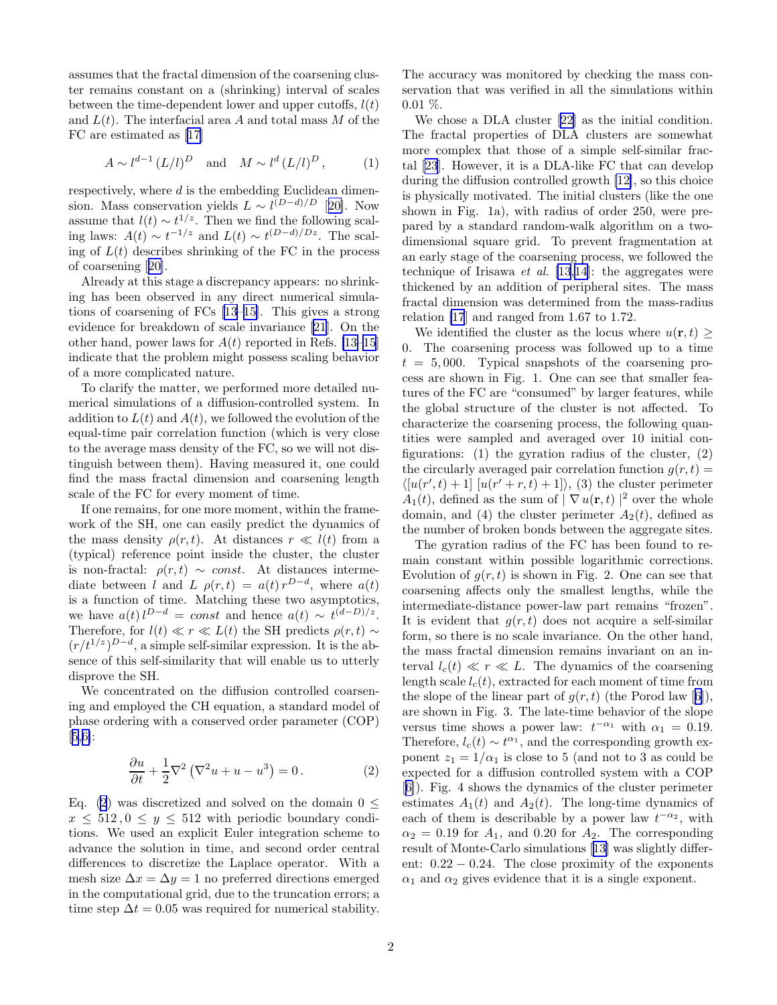assumes that the fractal dimension of the coarsening cluster remains constant on a (shrinking) interval of scales between the time-dependent lower and upper cutoffs,  $l(t)$ and  $L(t)$ . The interfacial area A and total mass M of the FC are estimated as[[17\]](#page-3-0)

$$
A \sim l^{d-1} \left( L/l \right)^D \quad \text{and} \quad M \sim l^d \left( L/l \right)^D, \tag{1}
$$

respectively, where d is the embedding Euclidean dimension. Mass conservation yields  $L \sim l^{(D-d)/D}$  [[20\]](#page-3-0). Now assume that  $l(t) \sim t^{1/z}$ . Then we find the following scaling laws:  $A(t) \sim t^{-1/z}$  and  $L(t) \sim t^{(D-d)/Dz}$ . The scaling of  $L(t)$  describes shrinking of the FC in the process of coarsening[[20\]](#page-3-0).

Already at this stage a discrepancy appears: no shrinking has been observed in any direct numerical simulations of coarsening of FCs[[13–15](#page-3-0)]. This gives a strong evidence for breakdown of scale invariance [\[21](#page-3-0)]. On the other hand, power laws for  $A(t)$  reported in Refs. [\[13–15](#page-3-0)] indicate that the problem might possess scaling behavior of a more complicated nature.

To clarify the matter, we performed more detailed numerical simulations of a diffusion-controlled system. In addition to  $L(t)$  and  $A(t)$ , we followed the evolution of the equal-time pair correlation function (which is very close to the average mass density of the FC, so we will not distinguish between them). Having measured it, one could find the mass fractal dimension and coarsening length scale of the FC for every moment of time.

If one remains, for one more moment, within the framework of the SH, one can easily predict the dynamics of the mass density  $\rho(r, t)$ . At distances  $r \ll l(t)$  from a (typical) reference point inside the cluster, the cluster is non-fractal:  $\rho(r, t) \sim const.$  At distances intermediate between l and L  $\rho(r,t) = a(t) r^{D-d}$ , where  $a(t)$ is a function of time. Matching these two asymptotics, we have  $a(t) l^{D-d} = const$  and hence  $a(t) \sim t^{(d-D)/z}$ . Therefore, for  $l(t) \ll r \ll L(t)$  the SH predicts  $\rho(r, t) \sim$  $(r/t^{1/z})^{D-d}$ , a simple self-similar expression. It is the absence of this self-similarity that will enable us to utterly disprove the SH.

We concentrated on the diffusion controlled coarsening and employed the CH equation, a standard model of phase ordering with a conserved order parameter (COP) [[5,6\]](#page-3-0):

$$
\frac{\partial u}{\partial t} + \frac{1}{2} \nabla^2 \left( \nabla^2 u + u - u^3 \right) = 0.
$$
 (2)

Eq. (2) was discretized and solved on the domain  $0 \leq$  $x \leq 512, 0 \leq y \leq 512$  with periodic boundary conditions. We used an explicit Euler integration scheme to advance the solution in time, and second order central differences to discretize the Laplace operator. With a mesh size  $\Delta x = \Delta y = 1$  no preferred directions emerged in the computational grid, due to the truncation errors; a time step  $\Delta t = 0.05$  was required for numerical stability.

The accuracy was monitored by checking the mass conservation that was verified in all the simulations within  $0.01\%$ .

We chose a DLA cluster[[22\]](#page-3-0) as the initial condition. The fractal properties of DLA clusters are somewhat more complex that those of a simple self-similar fractal [\[23](#page-3-0)]. However, it is a DLA-like FC that can develop during the diffusion controlled growth [\[12\]](#page-3-0), so this choice is physically motivated. The initial clusters (like the one shown in Fig. 1a), with radius of order 250, were prepared by a standard random-walk algorithm on a twodimensional square grid. To prevent fragmentation at an early stage of the coarsening process, we followed the technique of Irisawa et al.  $[13,14]$  $[13,14]$  $[13,14]$  $[13,14]$ : the aggregates were thickened by an addition of peripheral sites. The mass fractal dimension was determined from the mass-radius relation [\[17](#page-3-0)] and ranged from 1.67 to 1.72.

We identified the cluster as the locus where  $u(\mathbf{r}, t)$ 0. The coarsening process was followed up to a time  $t = 5,000$ . Typical snapshots of the coarsening process are shown in Fig. 1. One can see that smaller features of the FC are "consumed" by larger features, while the global structure of the cluster is not affected. To characterize the coarsening process, the following quantities were sampled and averaged over 10 initial configurations: (1) the gyration radius of the cluster, (2) the circularly averaged pair correlation function  $q(r, t) =$  $\langle [u(r',t)+1] [u(r'+r,t)+1] \rangle$ , (3) the cluster perimeter  $A_1(t)$ , defined as the sum of  $|\nabla u(\mathbf{r},t)|^2$  over the whole domain, and (4) the cluster perimeter  $A_2(t)$ , defined as the number of broken bonds between the aggregate sites.

The gyration radius of the FC has been found to remain constant within possible logarithmic corrections. Evolution of  $q(r, t)$  is shown in Fig. 2. One can see that coarsening affects only the smallest lengths, while the intermediate-distance power-law part remains "frozen". It is evident that  $g(r, t)$  does not acquire a self-similar form, so there is no scale invariance. On the other hand, the mass fractal dimension remains invariant on an interval  $l_c(t) \ll r \ll L$ . The dynamics of the coarsening length scale  $l_c(t)$ , extracted for each moment of time from theslope of the linear part of  $q(r, t)$  (the Porod law [[6\]](#page-3-0)), are shown in Fig. 3. The late-time behavior of the slope versus time shows a power law:  $t^{-\alpha_1}$  with  $\alpha_1 = 0.19$ . Therefore,  $l_c(t) \sim t^{\alpha_1}$ , and the corresponding growth exponent  $z_1 = 1/\alpha_1$  is close to 5 (and not to 3 as could be expected for a diffusion controlled system with a COP [[6\]](#page-3-0)). Fig. 4 shows the dynamics of the cluster perimeter estimates  $A_1(t)$  and  $A_2(t)$ . The long-time dynamics of each of them is describable by a power law  $t^{-\alpha_2}$ , with  $\alpha_2 = 0.19$  for  $A_1$ , and 0.20 for  $A_2$ . The corresponding result of Monte-Carlo simulations[[13\]](#page-3-0) was slightly different:  $0.22 - 0.24$ . The close proximity of the exponents  $\alpha_1$  and  $\alpha_2$  gives evidence that it is a single exponent.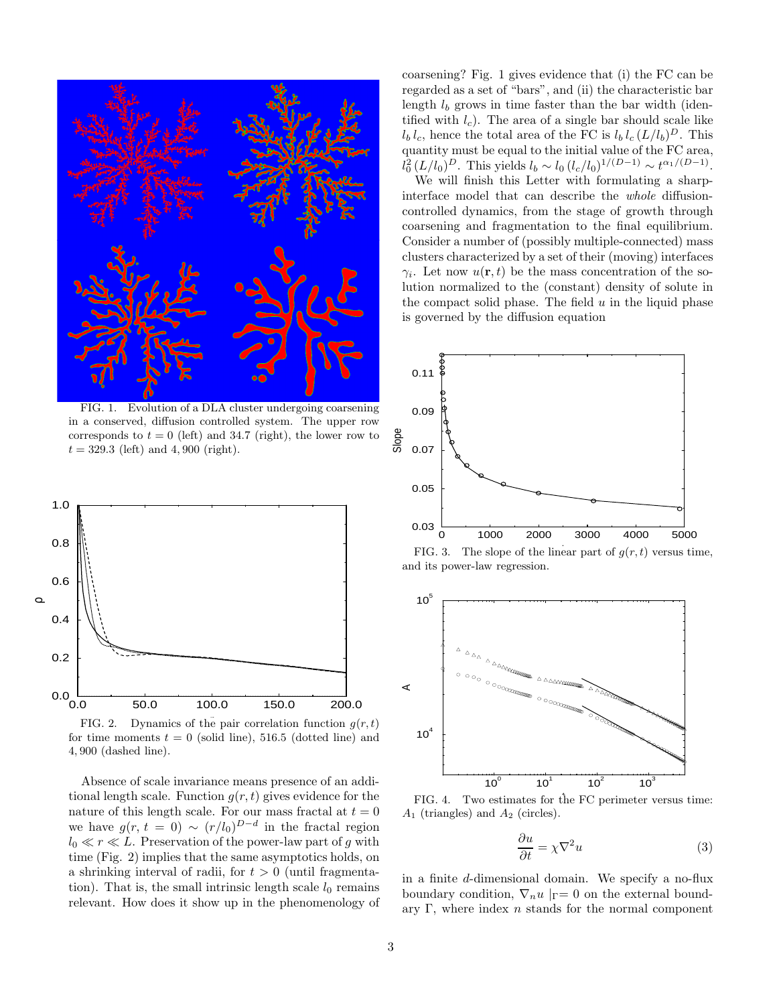

FIG. 1. Evolution of a DLA cluster undergoing coarsening in a conserved, diffusion controlled system. The upper row corresponds to  $t = 0$  (left) and 34.7 (right), the lower row to  $t = 329.3$  (left) and 4,900 (right).



FIG. 2. Dynamics of the pair correlation function  $g(r, t)$ for time moments  $t = 0$  (solid line), 516.5 (dotted line) and 4, 900 (dashed line).

Absence of scale invariance means presence of an additional length scale. Function  $g(r, t)$  gives evidence for the nature of this length scale. For our mass fractal at  $t=0$ we have  $g(r, t = 0) \sim (r/l_0)^{D-d}$  in the fractal region  $l_0 \ll r \ll L$ . Preservation of the power-law part of g with time (Fig. 2) implies that the same asymptotics holds, on a shrinking interval of radii, for  $t > 0$  (until fragmentation). That is, the small intrinsic length scale  $l_0$  remains relevant. How does it show up in the phenomenology of coarsening? Fig. 1 gives evidence that (i) the FC can be regarded as a set of "bars", and (ii) the characteristic bar length  $l_b$  grows in time faster than the bar width (identified with  $l_c$ ). The area of a single bar should scale like  $l_b l_c$ , hence the total area of the FC is  $l_b l_c (L/l_b)^D$ . This quantity must be equal to the initial value of the FC area,  $l_0^2 (L/l_0)^D$ . This yields  $l_b \sim l_0 (l_c/l_0)^{1/(D-1)} \sim t^{\alpha_1/(D-1)}$ .

We will finish this Letter with formulating a sharpinterface model that can describe the whole diffusioncontrolled dynamics, from the stage of growth through coarsening and fragmentation to the final equilibrium. Consider a number of (possibly multiple-connected) mass clusters characterized by a set of their (moving) interfaces  $\gamma_i$ . Let now  $u(\mathbf{r}, t)$  be the mass concentration of the solution normalized to the (constant) density of solute in the compact solid phase. The field  $u$  in the liquid phase is governed by the diffusion equation



FIG. 3. The slope of the linear part of  $g(r, t)$  versus time, and its power-law regression.



FIG. 4. Two estimates for the FC perimeter versus time:  $A_1$  (triangles) and  $A_2$  (circles).

$$
\frac{\partial u}{\partial t} = \chi \nabla^2 u \tag{3}
$$

in a finite d-dimensional domain. We specify a no-flux boundary condition,  $\nabla_n u \mid_{\Gamma} = 0$  on the external boundary Γ, where index  $n$  stands for the normal component